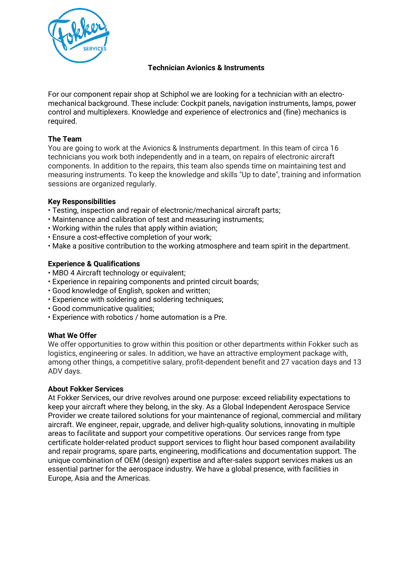

# **Technician Avionics & Instruments**

For our component repair shop at Schiphol we are looking for a technician with an electromechanical background. These include: Cockpit panels, navigation instruments, lamps, power control and multiplexers. Knowledge and experience of electronics and (fine) mechanics is required.

# **The Team**

You are going to work at the Avionics & Instruments department. In this team of circa 16 technicians you work both independently and in a team, on repairs of electronic aircraft components. In addition to the repairs, this team also spends time on maintaining test and measuring instruments. To keep the knowledge and skills "Up to date", training and information sessions are organized regularly.

## **Key Responsibilities**

- Testing, inspection and repair of electronic/mechanical aircraft parts;
- Maintenance and calibration of test and measuring instruments;
- Working within the rules that apply within aviation;
- Ensure a cost-effective completion of your work;
- Make a positive contribution to the working atmosphere and team spirit in the department.

## **Experience & Qualifications**

- MBO 4 Aircraft technology or equivalent:
- Experience in repairing components and printed circuit boards;
- Good knowledge of English, spoken and written;
- Experience with soldering and soldering techniques;
- Good communicative qualities;
- Experience with robotics / home automation is a Pre.

### **What We Offer**

We offer opportunities to grow within this position or other departments within Fokker such as logistics, engineering or sales. In addition, we have an attractive employment package with, among other things, a competitive salary, profit-dependent benefit and 27 vacation days and 13 ADV days.

### **About Fokker Services**

At Fokker Services, our drive revolves around one purpose: exceed reliability expectations to keep your aircraft where they belong, in the sky. As a Global Independent Aerospace Service Provider we create tailored solutions for your maintenance of regional, commercial and military aircraft. We engineer, repair, upgrade, and deliver high-quality solutions, innovating in multiple areas to facilitate and support your competitive operations. Our services range from type certificate holder-related product support services to flight hour based component availability and repair programs, spare parts, engineering, modifications and documentation support. The unique combination of OEM (design) expertise and after-sales support services makes us an essential partner for the aerospace industry. We have a global presence, with facilities in Europe, Asia and the Americas.